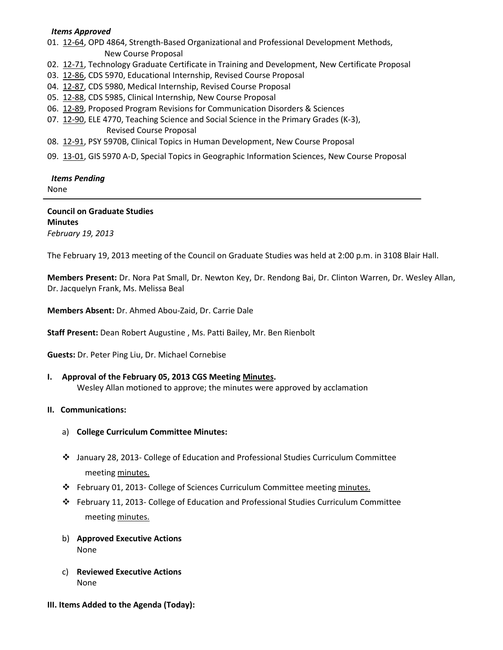## *Items Approved*

01. [12-64,](http://castle.eiu.edu/~eiucgs/currentagendaitems/agenda12-64.pdf) OPD 4864, Strength-Based Organizational and Professional Development Methods, New Course Proposal

- 02.[12-71,](http://castle.eiu.edu/~eiucgs/currentagendaitems/agenda12-71.pdf) Technology Graduate Certificate in Training and Development, New Certificate Proposal
- 03. [12-86,](http://castle.eiu.edu/~eiucgs/currentagendaitems/agenda12-86.pdf) CDS 5970, Educational Internship, Revised Course Proposal
- 04. [12-87,](http://castle.eiu.edu/~eiucgs/currentagendaitems/agenda12-87.pdf) CDS 5980, Medical Internship, Revised Course Proposal
- 05. [12-88,](http://castle.eiu.edu/~eiucgs/currentagendaitems/agenda12-88.pdf) CDS 5985, Clinical Internship, New Course Proposal
- 06. [12-89,](http://castle.eiu.edu/~eiucgs/currentagendaitems/agenda12-89.pdf) Proposed Program Revisions for Communication Disorders & Sciences
- 07. [12-90,](http://castle.eiu.edu/~eiucgs/currentagendaitems/agenda12-90.pdf) ELE 4770, Teaching Science and Social Science in the Primary Grades (K-3), Revised Course Proposal
- 08. [12-91,](http://castle.eiu.edu/~eiucgs/currentagendaitems/agenda12-91.pdf) PSY 5970B, Clinical Topics in Human Development, New Course Proposal
- 09. [13-01,](http://castle.eiu.edu/~eiucgs/currentagendaitems/agenda13-01.pdf) GIS 5970 A-D, Special Topics in Geographic Information Sciences, New Course Proposal

# *Items Pending*

None

#### **Council on Graduate Studies Minutes**

*February 19, 2013*

The February 19, 2013 meeting of the Council on Graduate Studies was held at 2:00 p.m. in 3108 Blair Hall.

**Members Present:** Dr. Nora Pat Small, Dr. Newton Key, Dr. Rendong Bai, Dr. Clinton Warren, Dr. Wesley Allan, Dr. Jacquelyn Frank, Ms. Melissa Beal

**Members Absent:** Dr. Ahmed Abou-Zaid, Dr. Carrie Dale

**Staff Present:** Dean Robert Augustine , Ms. Patti Bailey, Mr. Ben Rienbolt

**Guests:** Dr. Peter Ping Liu, Dr. Michael Cornebise

**I. Approval of the February 05, 2013 CGS Meeting [Minutes.](http://castle.eiu.edu/eiucgs/currentminutes/Minutes02-05-13.pdf)** Wesley Allan motioned to approve; the minutes were approved by acclamation

# **II. Communications:**

- a) **College Curriculum Committee Minutes:**
- January 28, 2013- College of Education and Professional Studies Curriculum Committee meeting [minutes.](http://castle.eiu.edu/~eiucgs/currentagendaitems/CEPSMin01-28-13.pdf)
- February 01, 2013- College of Sciences Curriculum Committee meeting [minutes.](http://castle.eiu.edu/~eiucgs/currentagendaitems/COSMin02-01-13.pdf)
- February 11, 2013- College of Education and Professional Studies Curriculum Committee meeting [minutes.](http://castle.eiu.edu/~eiucgs/currentagendaitems/CEPSMin02-11-13.pdf)
- b) **Approved Executive Actions** None
- c) **Reviewed Executive Actions** None
- **III. Items Added to the Agenda (Today):**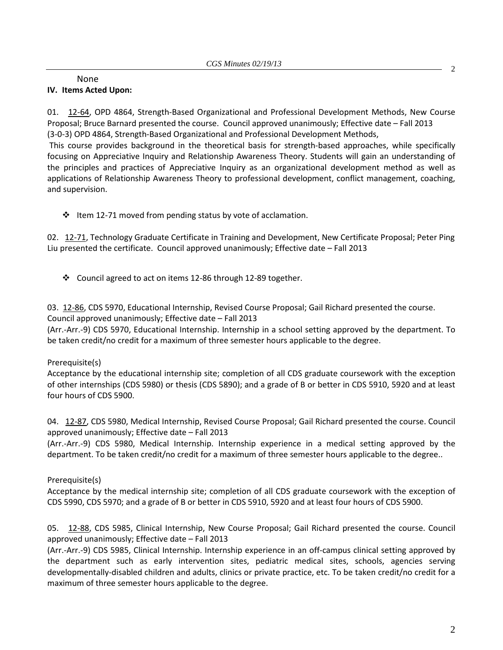#### None **IV. Items Acted Upon:**

01. [12-64,](http://castle.eiu.edu/~eiucgs/currentagendaitems/agenda12-64.pdf) OPD 4864, Strength-Based Organizational and Professional Development Methods, New Course Proposal; Bruce Barnard presented the course. Council approved unanimously; Effective date – Fall 2013 (3-0-3) OPD 4864, Strength-Based Organizational and Professional Development Methods,

This course provides background in the theoretical basis for strength-based approaches, while specifically focusing on Appreciative Inquiry and Relationship Awareness Theory. Students will gain an understanding of the principles and practices of Appreciative Inquiry as an organizational development method as well as applications of Relationship Awareness Theory to professional development, conflict management, coaching, and supervision.

 $\cdot \cdot$  Item 12-71 moved from pending status by vote of acclamation.

02. [12-71,](http://castle.eiu.edu/~eiucgs/currentagendaitems/agenda12-71.pdf) Technology Graduate Certificate in Training and Development, New Certificate Proposal; Peter Ping Liu presented the certificate. Council approved unanimously; Effective date – Fall 2013

Council agreed to act on items 12-86 through 12-89 together.

03. [12-86,](http://castle.eiu.edu/~eiucgs/currentagendaitems/agenda12-86.pdf) CDS 5970, Educational Internship, Revised Course Proposal; Gail Richard presented the course. Council approved unanimously; Effective date – Fall 2013

(Arr.-Arr.-9) CDS 5970, Educational Internship. Internship in a school setting approved by the department. To be taken credit/no credit for a maximum of three semester hours applicable to the degree.

# Prerequisite(s)

Acceptance by the educational internship site; completion of all CDS graduate coursework with the exception of other internships (CDS 5980) or thesis (CDS 5890); and a grade of B or better in CDS 5910, 5920 and at least four hours of CDS 5900.

04. [12-87,](http://castle.eiu.edu/~eiucgs/currentagendaitems/agenda12-87.pdf) CDS 5980, Medical Internship, Revised Course Proposal; Gail Richard presented the course. Council approved unanimously; Effective date – Fall 2013

(Arr.-Arr.-9) CDS 5980, Medical Internship. Internship experience in a medical setting approved by the department. To be taken credit/no credit for a maximum of three semester hours applicable to the degree..

# Prerequisite(s)

Acceptance by the medical internship site; completion of all CDS graduate coursework with the exception of CDS 5990, CDS 5970; and a grade of B or better in CDS 5910, 5920 and at least four hours of CDS 5900.

05. [12-88,](http://castle.eiu.edu/~eiucgs/currentagendaitems/agenda12-88.pdf) CDS 5985, Clinical Internship, New Course Proposal; Gail Richard presented the course. Council approved unanimously; Effective date – Fall 2013

(Arr.-Arr.-9) CDS 5985, Clinical Internship. Internship experience in an off-campus clinical setting approved by the department such as early intervention sites, pediatric medical sites, schools, agencies serving developmentally-disabled children and adults, clinics or private practice, etc. To be taken credit/no credit for a maximum of three semester hours applicable to the degree.

2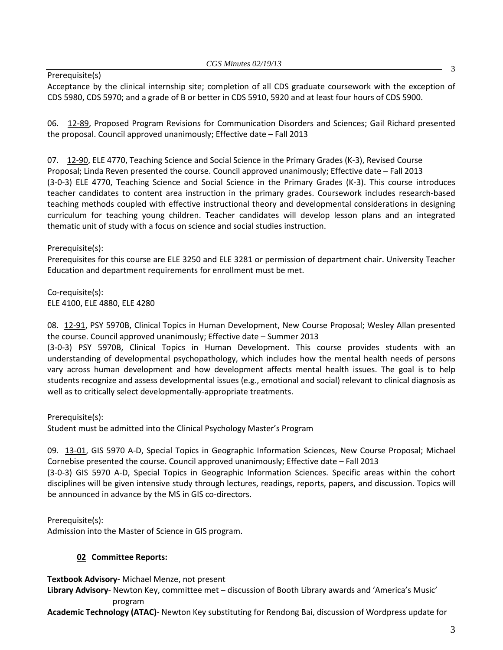Prerequisite(s)

Acceptance by the clinical internship site; completion of all CDS graduate coursework with the exception of CDS 5980, CDS 5970; and a grade of B or better in CDS 5910, 5920 and at least four hours of CDS 5900.

06. [12-89,](http://castle.eiu.edu/~eiucgs/currentagendaitems/agenda12-89.pdf) Proposed Program Revisions for Communication Disorders and Sciences; Gail Richard presented the proposal. Council approved unanimously; Effective date – Fall 2013

07. [12-90,](http://castle.eiu.edu/~eiucgs/currentagendaitems/agenda12-90.pdf) ELE 4770, Teaching Science and Social Science in the Primary Grades (K-3), Revised Course Proposal; Linda Reven presented the course. Council approved unanimously; Effective date – Fall 2013 (3-0-3) ELE 4770, Teaching Science and Social Science in the Primary Grades (K-3). This course introduces teacher candidates to content area instruction in the primary grades. Coursework includes research-based teaching methods coupled with effective instructional theory and developmental considerations in designing curriculum for teaching young children. Teacher candidates will develop lesson plans and an integrated thematic unit of study with a focus on science and social studies instruction.

Prerequisite(s):

Prerequisites for this course are ELE 3250 and ELE 3281 or permission of department chair. University Teacher Education and department requirements for enrollment must be met.

Co-requisite(s): ELE 4100, ELE 4880, ELE 4280

08. [12-91,](http://castle.eiu.edu/~eiucgs/currentagendaitems/agenda12-91.pdf) PSY 5970B, Clinical Topics in Human Development, New Course Proposal; Wesley Allan presented the course. Council approved unanimously; Effective date – Summer 2013

(3-0-3) PSY 5970B, Clinical Topics in Human Development. This course provides students with an understanding of developmental psychopathology, which includes how the mental health needs of persons vary across human development and how development affects mental health issues. The goal is to help students recognize and assess developmental issues (e.g., emotional and social) relevant to clinical diagnosis as well as to critically select developmentally-appropriate treatments.

Prerequisite(s):

Student must be admitted into the Clinical Psychology Master's Program

09. [13-01,](http://castle.eiu.edu/~eiucgs/currentagendaitems/agenda13-01.pdf) GIS 5970 A-D, Special Topics in Geographic Information Sciences, New Course Proposal; Michael Cornebise presented the course. Council approved unanimously; Effective date – Fall 2013

(3-0-3) GIS 5970 A-D, Special Topics in Geographic Information Sciences. Specific areas within the cohort disciplines will be given intensive study through lectures, readings, reports, papers, and discussion. Topics will be announced in advance by the MS in GIS co-directors.

Prerequisite(s):

Admission into the Master of Science in GIS program.

# **02 Committee Reports:**

**Textbook Advisory-** Michael Menze, not present

**Library Advisory**- Newton Key, committee met – discussion of Booth Library awards and 'America's Music' program

**Academic Technology (ATAC)**- Newton Key substituting for Rendong Bai, discussion of Wordpress update for

3